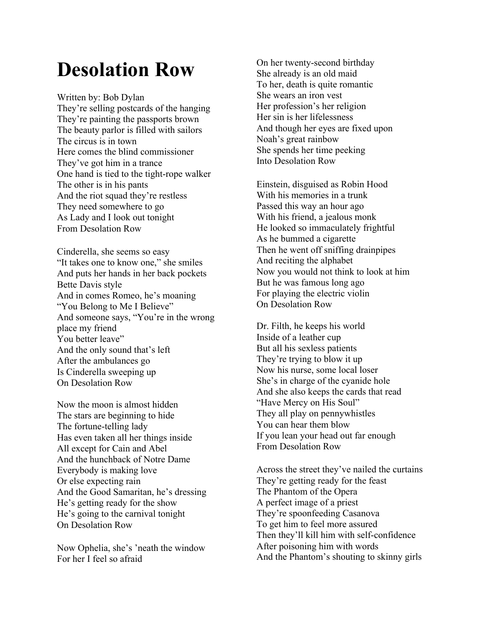## **Desolation Row**

Written by: Bob Dylan

They're selling postcards of the hanging They're painting the passports brown The beauty parlor is filled with sailors The circus is in town Here comes the blind commissioner They've got him in a trance One hand is tied to the tight-rope walker The other is in his pants And the riot squad they're restless They need somewhere to go As Lady and I look out tonight From Desolation Row

Cinderella, she seems so easy "It takes one to know one," she smiles And puts her hands in her back pockets Bette Davis style And in comes Romeo, he's moaning "You Belong to Me I Believe" And someone says, "You're in the wrong place my friend You better leave" And the only sound that's left After the ambulances go Is Cinderella sweeping up On Desolation Row

Now the moon is almost hidden The stars are beginning to hide The fortune-telling lady Has even taken all her things inside All except for Cain and Abel And the hunchback of Notre Dame Everybody is making love Or else expecting rain And the Good Samaritan, he's dressing He's getting ready for the show He's going to the carnival tonight On Desolation Row

Now Ophelia, she's 'neath the window For her I feel so afraid

On her twenty-second birthday She already is an old maid To her, death is quite romantic She wears an iron vest Her profession's her religion Her sin is her lifelessness And though her eyes are fixed upon Noah's great rainbow She spends her time peeking Into Desolation Row

Einstein, disguised as Robin Hood With his memories in a trunk Passed this way an hour ago With his friend, a jealous monk He looked so immaculately frightful As he bummed a cigarette Then he went off sniffing drainpipes And reciting the alphabet Now you would not think to look at him But he was famous long ago For playing the electric violin On Desolation Row

Dr. Filth, he keeps his world Inside of a leather cup But all his sexless patients They're trying to blow it up Now his nurse, some local loser She's in charge of the cyanide hole And she also keeps the cards that read "Have Mercy on His Soul" They all play on pennywhistles You can hear them blow If you lean your head out far enough From Desolation Row

Across the street they've nailed the curtains They're getting ready for the feast The Phantom of the Opera A perfect image of a priest They're spoonfeeding Casanova To get him to feel more assured Then they'll kill him with self-confidence After poisoning him with words And the Phantom's shouting to skinny girls